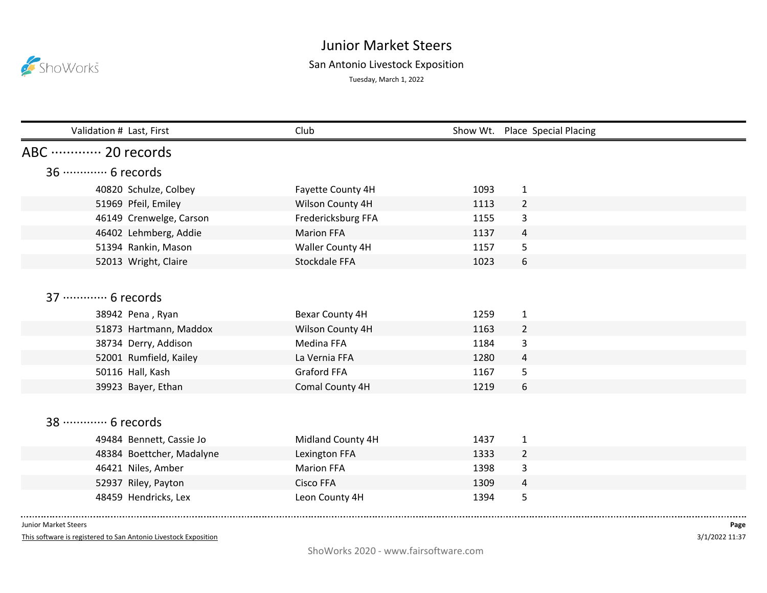

## Junior Market Steers

## San Antonio Livestock Exposition

Tuesday, March 1, 2022

| Validation # Last, First  | Club               |      | Show Wt. Place Special Placing |
|---------------------------|--------------------|------|--------------------------------|
| ABC  20 records           |                    |      |                                |
| 36 ………… 6 records         |                    |      |                                |
| 40820 Schulze, Colbey     | Fayette County 4H  | 1093 | $\mathbf{1}$                   |
| 51969 Pfeil, Emiley       | Wilson County 4H   | 1113 | $\overline{2}$                 |
| 46149 Crenwelge, Carson   | Fredericksburg FFA | 1155 | $\mathsf{3}$                   |
| 46402 Lehmberg, Addie     | <b>Marion FFA</b>  | 1137 | 4                              |
| 51394 Rankin, Mason       | Waller County 4H   | 1157 | 5                              |
| 52013 Wright, Claire      | Stockdale FFA      | 1023 | 6                              |
|                           |                    |      |                                |
| 37  6 records             |                    |      |                                |
| 38942 Pena, Ryan          | Bexar County 4H    | 1259 | $\mathbf{1}$                   |
| 51873 Hartmann, Maddox    | Wilson County 4H   | 1163 | $\overline{2}$                 |
| 38734 Derry, Addison      | Medina FFA         | 1184 | 3                              |
| 52001 Rumfield, Kailey    | La Vernia FFA      | 1280 | $\overline{a}$                 |
| 50116 Hall, Kash          | <b>Graford FFA</b> | 1167 | 5                              |
| 39923 Bayer, Ethan        | Comal County 4H    | 1219 | 6                              |
|                           |                    |      |                                |
| 38 ………… 6 records         |                    |      |                                |
| 49484 Bennett, Cassie Jo  | Midland County 4H  | 1437 | $\mathbf{1}$                   |
| 48384 Boettcher, Madalyne | Lexington FFA      | 1333 | $\overline{2}$                 |
| 46421 Niles, Amber        | <b>Marion FFA</b>  | 1398 | 3                              |
| 52937 Riley, Payton       | <b>Cisco FFA</b>   | 1309 | 4                              |
| 48459 Hendricks, Lex      | Leon County 4H     | 1394 | 5                              |

Junior Market Steers

 $-$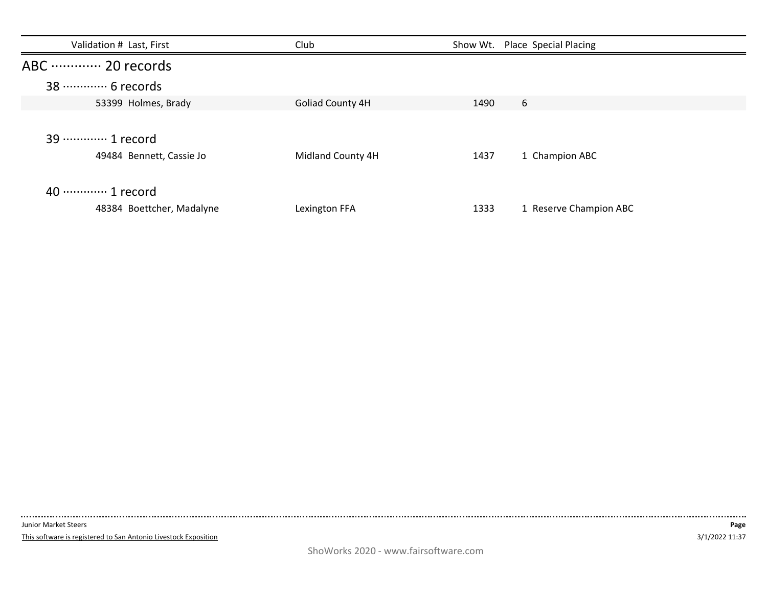| Validation # Last, First                               | Club                    |      | Show Wt. Place Special Placing |
|--------------------------------------------------------|-------------------------|------|--------------------------------|
| ABC  20 records                                        |                         |      |                                |
| 38 ………… 6 records                                      |                         |      |                                |
| 53399 Holmes, Brady                                    | <b>Goliad County 4H</b> | 1490 | 6                              |
| 39 ·············· 1 record<br>49484 Bennett, Cassie Jo | Midland County 4H       | 1437 | 1 Champion ABC                 |
| 40 ············· 1 record<br>48384 Boettcher, Madalyne | Lexington FFA           | 1333 | 1 Reserve Champion ABC         |

-------------------------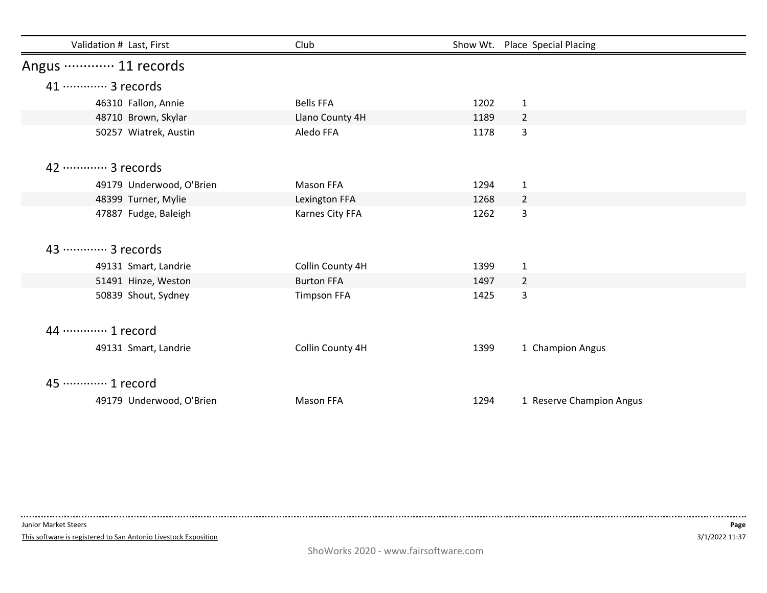| Validation # Last, First  | Club               | Show Wt. | Place Special Placing    |
|---------------------------|--------------------|----------|--------------------------|
| Angus ………… 11 records     |                    |          |                          |
| 41 ………… 3 records         |                    |          |                          |
| 46310 Fallon, Annie       | <b>Bells FFA</b>   | 1202     | $\mathbf{1}$             |
| 48710 Brown, Skylar       | Llano County 4H    | 1189     | $\overline{2}$           |
| 50257 Wiatrek, Austin     | Aledo FFA          | 1178     | $\mathsf 3$              |
| 42 ………… 3 records         |                    |          |                          |
| 49179 Underwood, O'Brien  | Mason FFA          | 1294     | $\mathbf{1}$             |
| 48399 Turner, Mylie       | Lexington FFA      | 1268     | $\overline{2}$           |
| 47887 Fudge, Baleigh      | Karnes City FFA    | 1262     | $\mathsf 3$              |
| 43 ………… 3 records         |                    |          |                          |
| 49131 Smart, Landrie      | Collin County 4H   | 1399     | $\mathbf 1$              |
| 51491 Hinze, Weston       | <b>Burton FFA</b>  | 1497     | $\overline{2}$           |
| 50839 Shout, Sydney       | <b>Timpson FFA</b> | 1425     | 3                        |
| 44 ………… 1 record          |                    |          |                          |
| 49131 Smart, Landrie      | Collin County 4H   | 1399     | 1 Champion Angus         |
| 45 ············· 1 record |                    |          |                          |
| 49179 Underwood, O'Brien  | Mason FFA          | 1294     | 1 Reserve Champion Angus |

Page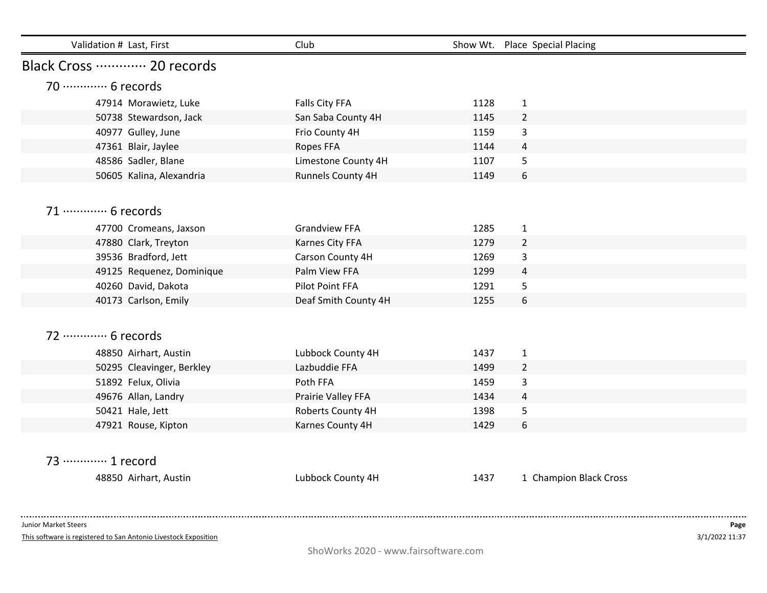| Validation # Last, First   | Club                 |      | Show Wt. Place Special Placing |
|----------------------------|----------------------|------|--------------------------------|
| Black Cross  20 records    |                      |      |                                |
| 70 ············· 6 records |                      |      |                                |
| 47914 Morawietz, Luke      | Falls City FFA       | 1128 | $\mathbf{1}$                   |
| 50738 Stewardson, Jack     | San Saba County 4H   | 1145 | $\overline{2}$                 |
| 40977 Gulley, June         | Frio County 4H       | 1159 | 3                              |
| 47361 Blair, Jaylee        | Ropes FFA            | 1144 | 4                              |
| 48586 Sadler, Blane        | Limestone County 4H  | 1107 | 5                              |
| 50605 Kalina, Alexandria   | Runnels County 4H    | 1149 | 6                              |
|                            |                      |      |                                |
| 71 ············· 6 records |                      |      |                                |
| 47700 Cromeans, Jaxson     | <b>Grandview FFA</b> | 1285 | $\mathbf{1}$                   |
| 47880 Clark, Treyton       | Karnes City FFA      | 1279 | $\overline{2}$                 |
| 39536 Bradford, Jett       | Carson County 4H     | 1269 | 3                              |
| 49125 Requenez, Dominique  | Palm View FFA        | 1299 | 4                              |
| 40260 David, Dakota        | Pilot Point FFA      | 1291 | 5                              |
| 40173 Carlson, Emily       | Deaf Smith County 4H | 1255 | 6                              |
|                            |                      |      |                                |
| 72 ············· 6 records |                      |      |                                |
| 48850 Airhart, Austin      | Lubbock County 4H    | 1437 | $\mathbf{1}$                   |
| 50295 Cleavinger, Berkley  | Lazbuddie FFA        | 1499 | $\overline{2}$                 |
| 51892 Felux, Olivia        | Poth FFA             | 1459 | 3                              |
| 49676 Allan, Landry        | Prairie Valley FFA   | 1434 | 4                              |
| 50421 Hale, Jett           | Roberts County 4H    | 1398 | 5                              |
| 47921 Rouse, Kipton        | Karnes County 4H     | 1429 | 6                              |
|                            |                      |      |                                |
| 73 ············· 1 record  |                      |      |                                |
| 48850 Airhart, Austin      | Lubbock County 4H    | 1437 | 1 Champion Black Cross         |
|                            |                      |      |                                |
|                            |                      |      |                                |

Junior Market Steers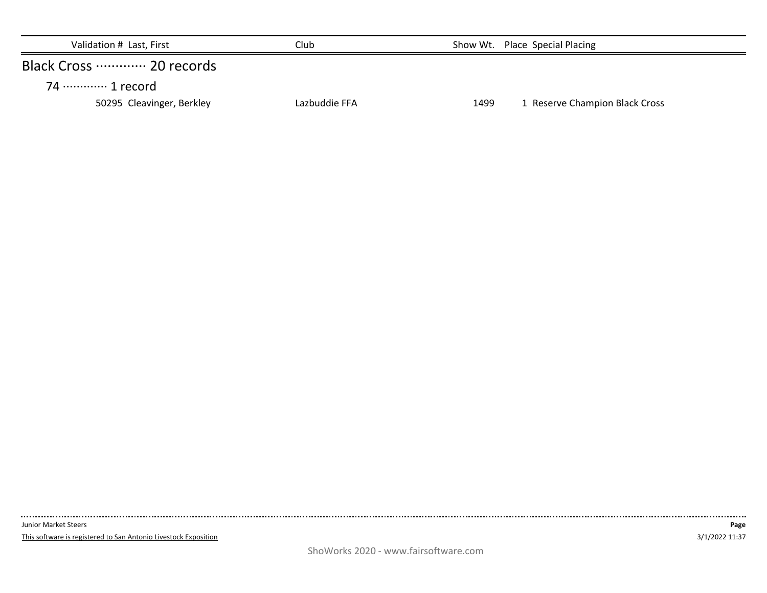| Validation # Last, First  | Club          | Show Wt. Place Special Placing         |
|---------------------------|---------------|----------------------------------------|
| Black Cross  20 records   |               |                                        |
| 74 ………… 1 record          |               |                                        |
| 50295 Cleavinger, Berkley | Lazbuddie FFA | 1 Reserve Champion Black Cross<br>1499 |

--------------------------

. . . .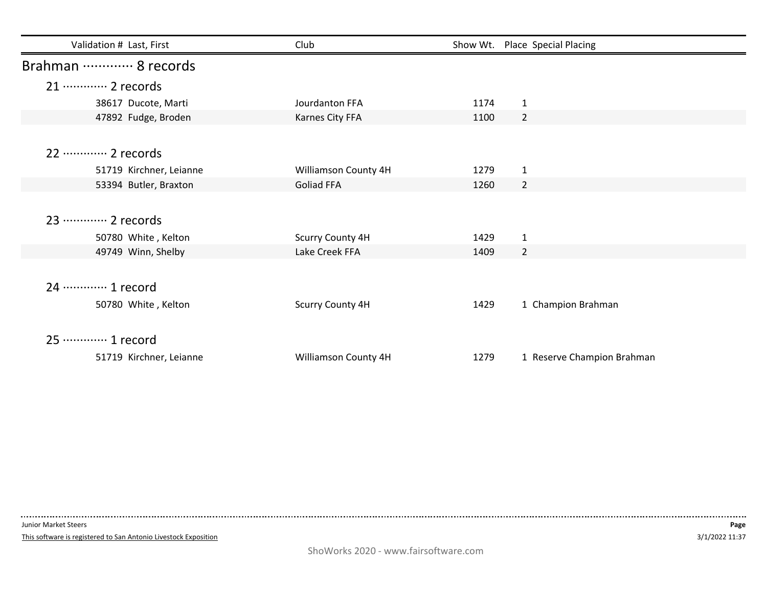| Validation # Last, First | Club                    |      | Show Wt. Place Special Placing |
|--------------------------|-------------------------|------|--------------------------------|
| Brahman  8 records       |                         |      |                                |
| 21 ………… 2 records        |                         |      |                                |
| 38617 Ducote, Marti      | Jourdanton FFA          | 1174 | $\mathbf{1}$                   |
| 47892 Fudge, Broden      | Karnes City FFA         | 1100 | $\overline{2}$                 |
|                          |                         |      |                                |
| 22 ………… 2 records        |                         |      |                                |
| 51719 Kirchner, Leianne  | Williamson County 4H    | 1279 | $\mathbf{1}$                   |
| 53394 Butler, Braxton    | <b>Goliad FFA</b>       | 1260 | $\overline{2}$                 |
|                          |                         |      |                                |
| 23 ………… 2 records        |                         |      |                                |
| 50780 White, Kelton      | <b>Scurry County 4H</b> | 1429 | $\mathbf{1}$                   |
| 49749 Winn, Shelby       | Lake Creek FFA          | 1409 | $\overline{2}$                 |
|                          |                         |      |                                |
| 24 ………… 1 record         |                         |      |                                |
| 50780 White, Kelton      | <b>Scurry County 4H</b> | 1429 | 1 Champion Brahman             |
|                          |                         |      |                                |
| 25 ………… 1 record         |                         |      |                                |
| 51719 Kirchner, Leianne  | Williamson County 4H    | 1279 | 1 Reserve Champion Brahman     |

 $- - -$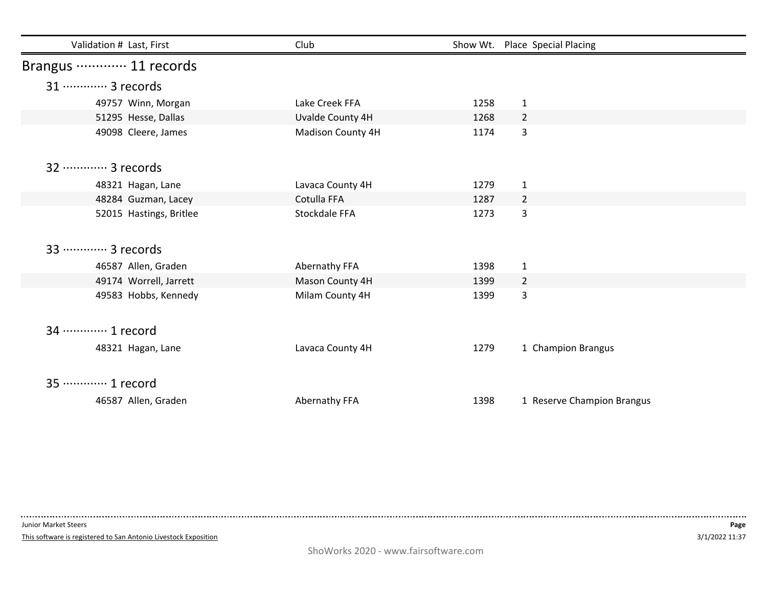| Validation # Last, First | Club              | Show Wt. | Place Special Placing      |
|--------------------------|-------------------|----------|----------------------------|
| Brangus ………… 11 records  |                   |          |                            |
| 31 ………… 3 records        |                   |          |                            |
| 49757 Winn, Morgan       | Lake Creek FFA    | 1258     | $\mathbf{1}$               |
| 51295 Hesse, Dallas      | Uvalde County 4H  | 1268     | $\overline{2}$             |
| 49098 Cleere, James      | Madison County 4H | 1174     | $\mathsf{3}$               |
| 32 ………… 3 records        |                   |          |                            |
| 48321 Hagan, Lane        | Lavaca County 4H  | 1279     | $\mathbf{1}$               |
| 48284 Guzman, Lacey      | Cotulla FFA       | 1287     | $\overline{2}$             |
| 52015 Hastings, Britlee  | Stockdale FFA     | 1273     | $\ensuremath{\mathsf{3}}$  |
| 33  3 records            |                   |          |                            |
| 46587 Allen, Graden      | Abernathy FFA     | 1398     | $\mathbf{1}$               |
| 49174 Worrell, Jarrett   | Mason County 4H   | 1399     | $\overline{2}$             |
| 49583 Hobbs, Kennedy     | Milam County 4H   | 1399     | 3                          |
| 34 ………… 1 record         |                   |          |                            |
| 48321 Hagan, Lane        | Lavaca County 4H  | 1279     | 1 Champion Brangus         |
| 35 ………… 1 record         |                   |          |                            |
| 46587 Allen, Graden      | Abernathy FFA     | 1398     | 1 Reserve Champion Brangus |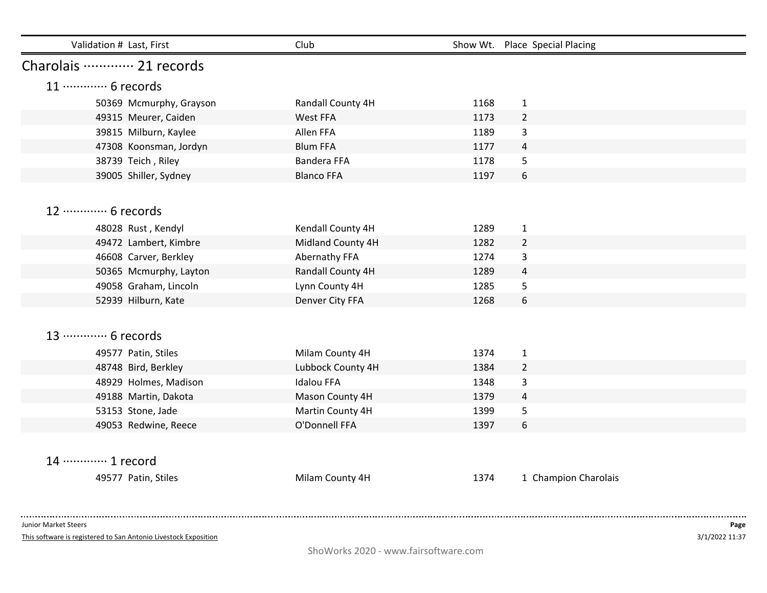| Validation # Last, First   | Club               |      | Show Wt. Place Special Placing |      |
|----------------------------|--------------------|------|--------------------------------|------|
| Charolais  21 records      |                    |      |                                |      |
| 11 ············· 6 records |                    |      |                                |      |
| 50369 Mcmurphy, Grayson    | Randall County 4H  | 1168 | $\mathbf{1}$                   |      |
| 49315 Meurer, Caiden       | West FFA           | 1173 | $\overline{2}$                 |      |
| 39815 Milburn, Kaylee      | Allen FFA          | 1189 | 3                              |      |
| 47308 Koonsman, Jordyn     | <b>Blum FFA</b>    | 1177 | $\overline{a}$                 |      |
| 38739 Teich, Riley         | <b>Bandera FFA</b> | 1178 | 5                              |      |
| 39005 Shiller, Sydney      | <b>Blanco FFA</b>  | 1197 | 6                              |      |
|                            |                    |      |                                |      |
|                            |                    |      |                                |      |
| 12 ………… 6 records          |                    |      |                                |      |
| 48028 Rust, Kendyl         | Kendall County 4H  | 1289 | $\mathbf{1}$                   |      |
| 49472 Lambert, Kimbre      | Midland County 4H  | 1282 | $\overline{2}$                 |      |
| 46608 Carver, Berkley      | Abernathy FFA      | 1274 | 3                              |      |
| 50365 Mcmurphy, Layton     | Randall County 4H  | 1289 | 4                              |      |
| 49058 Graham, Lincoln      | Lynn County 4H     | 1285 | 5                              |      |
| 52939 Hilburn, Kate        | Denver City FFA    | 1268 | 6                              |      |
|                            |                    |      |                                |      |
| 13 ………… 6 records          |                    |      |                                |      |
| 49577 Patin, Stiles        | Milam County 4H    | 1374 | $\mathbf{1}$                   |      |
| 48748 Bird, Berkley        | Lubbock County 4H  | 1384 | $\overline{2}$                 |      |
| 48929 Holmes, Madison      | <b>Idalou FFA</b>  | 1348 | 3                              |      |
| 49188 Martin, Dakota       | Mason County 4H    | 1379 | $\overline{4}$                 |      |
| 53153 Stone, Jade          | Martin County 4H   | 1399 | 5                              |      |
| 49053 Redwine, Reece       | O'Donnell FFA      | 1397 | 6                              |      |
|                            |                    |      |                                |      |
| 14 ………… 1 record           |                    |      |                                |      |
|                            |                    |      |                                |      |
| 49577 Patin, Stiles        | Milam County 4H    | 1374 | 1 Champion Charolais           |      |
|                            |                    |      |                                |      |
|                            |                    |      |                                |      |
| Junior Market Steers       |                    |      |                                | Page |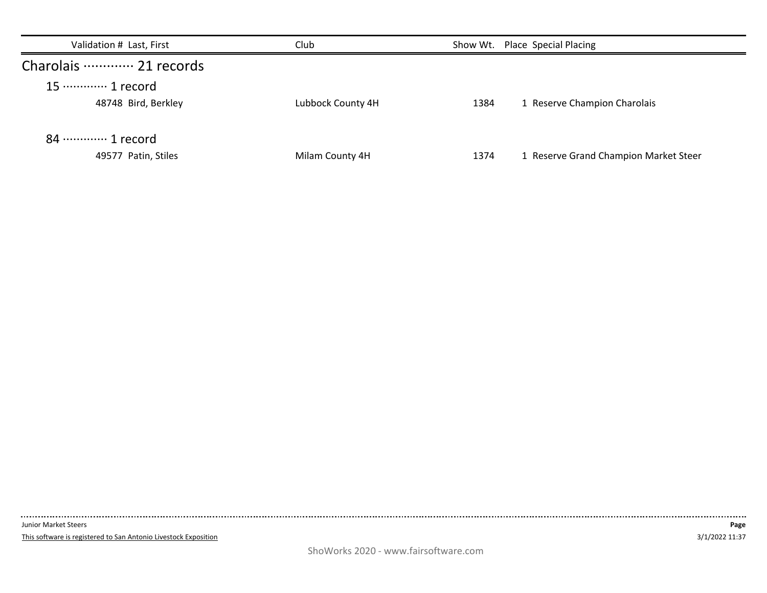| Validation # Last, First | Club              |      | Show Wt. Place Special Placing        |
|--------------------------|-------------------|------|---------------------------------------|
| Charolais  21 records    |                   |      |                                       |
| 15 ………… 1 record         |                   |      |                                       |
| 48748 Bird, Berkley      | Lubbock County 4H | 1384 | 1 Reserve Champion Charolais          |
| 84 ………… 1 record         |                   |      |                                       |
| 49577 Patin, Stiles      | Milam County 4H   | 1374 | 1 Reserve Grand Champion Market Steer |

-------------------------

 $- - -$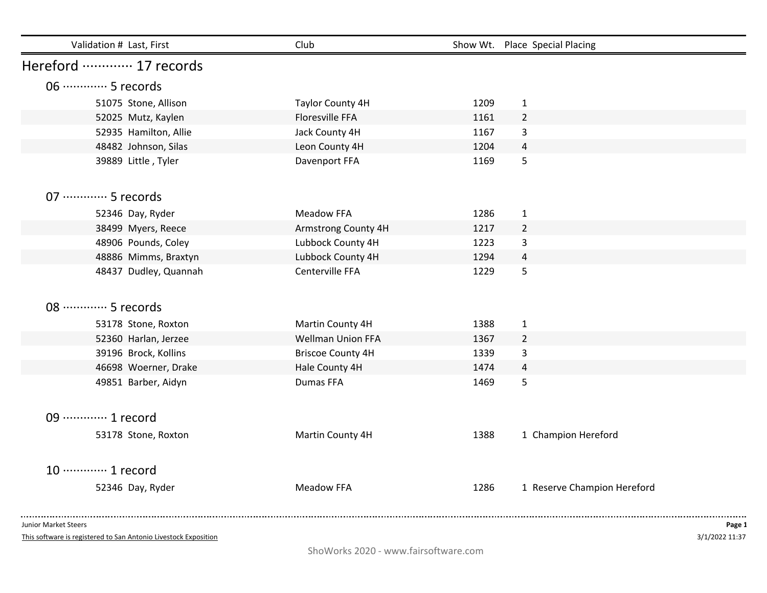| Validation # Last, First    | Club                     |      | Show Wt. Place Special Placing |
|-----------------------------|--------------------------|------|--------------------------------|
| Hereford  17 records        |                          |      |                                |
| 06 ·············· 5 records |                          |      |                                |
| 51075 Stone, Allison        | <b>Taylor County 4H</b>  | 1209 | $\mathbf{1}$                   |
| 52025 Mutz, Kaylen          | Floresville FFA          | 1161 | $\overline{2}$                 |
| 52935 Hamilton, Allie       | Jack County 4H           | 1167 | 3                              |
| 48482 Johnson, Silas        | Leon County 4H           | 1204 | 4                              |
| 39889 Little, Tyler         | Davenport FFA            | 1169 | 5                              |
| 07 ·············· 5 records |                          |      |                                |
| 52346 Day, Ryder            | Meadow FFA               | 1286 | $\mathbf{1}$                   |
| 38499 Myers, Reece          | Armstrong County 4H      | 1217 | $\overline{2}$                 |
| 48906 Pounds, Coley         | Lubbock County 4H        | 1223 | 3                              |
| 48886 Mimms, Braxtyn        | Lubbock County 4H        | 1294 | $\overline{4}$                 |
| 48437 Dudley, Quannah       | Centerville FFA          | 1229 | 5                              |
| 08 ………… 5 records           |                          |      |                                |
| 53178 Stone, Roxton         | Martin County 4H         | 1388 | $\mathbf{1}$                   |
| 52360 Harlan, Jerzee        | <b>Wellman Union FFA</b> | 1367 | $\overline{2}$                 |
| 39196 Brock, Kollins        | <b>Briscoe County 4H</b> | 1339 | 3                              |
| 46698 Woerner, Drake        | Hale County 4H           | 1474 | 4                              |
| 49851 Barber, Aidyn         | Dumas FFA                | 1469 | 5                              |
| 09 ············· 1 record   |                          |      |                                |
| 53178 Stone, Roxton         | Martin County 4H         | 1388 | 1 Champion Hereford            |
| 10 ············· 1 record   |                          |      |                                |
| 52346 Day, Ryder            | <b>Meadow FFA</b>        | 1286 | 1 Reserve Champion Hereford    |
| Junior Market Steers        |                          |      | Page 1                         |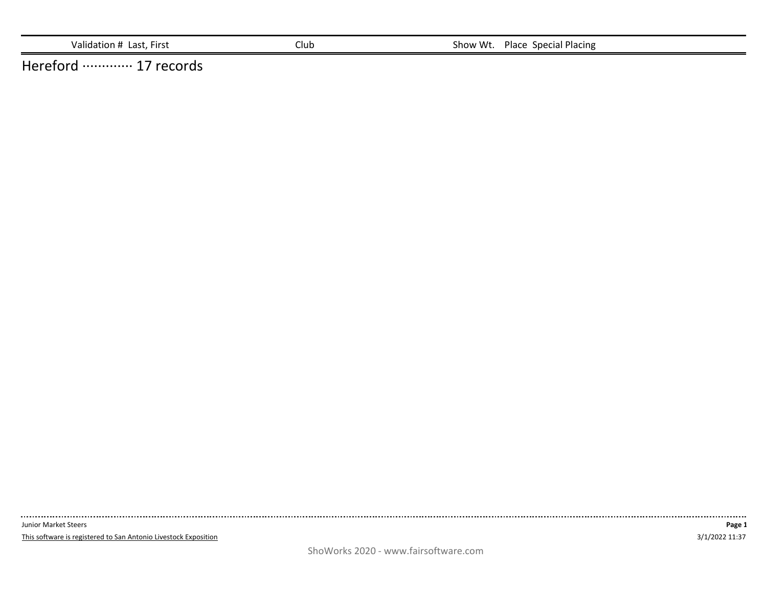|  | Validation #<br>Last | --<br><b>First</b> | Club | Show Wt. | Special Placing<br>Place |
|--|----------------------|--------------------|------|----------|--------------------------|
|  |                      |                    |      |          |                          |

Hereford ·············· 17 records

 $\blacksquare$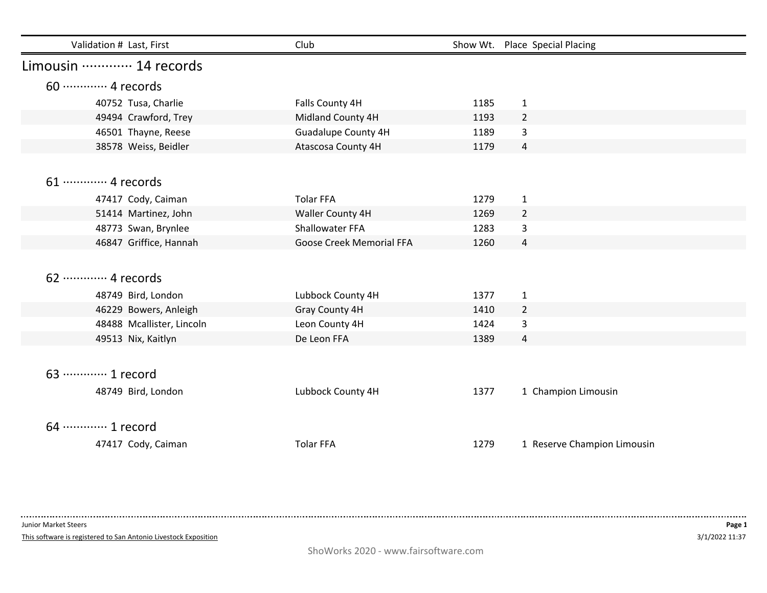| Validation # Last, First   | Club                       |      | Show Wt. Place Special Placing |
|----------------------------|----------------------------|------|--------------------------------|
| Limousin  14 records       |                            |      |                                |
| 60 ············· 4 records |                            |      |                                |
| 40752 Tusa, Charlie        | Falls County 4H            | 1185 | $\mathbf{1}$                   |
| 49494 Crawford, Trey       | Midland County 4H          | 1193 | $\overline{2}$                 |
| 46501 Thayne, Reese        | <b>Guadalupe County 4H</b> | 1189 | 3                              |
| 38578 Weiss, Beidler       | Atascosa County 4H         | 1179 | 4                              |
|                            |                            |      |                                |
| 61 ············· 4 records |                            |      |                                |
| 47417 Cody, Caiman         | <b>Tolar FFA</b>           | 1279 | $\mathbf{1}$                   |
| 51414 Martinez, John       | Waller County 4H           | 1269 | $\overline{2}$                 |
| 48773 Swan, Brynlee        | Shallowater FFA            | 1283 | 3                              |
| 46847 Griffice, Hannah     | Goose Creek Memorial FFA   | 1260 | 4                              |
|                            |                            |      |                                |
| 62 ············· 4 records |                            |      |                                |
| 48749 Bird, London         | Lubbock County 4H          | 1377 | $\mathbf{1}$                   |
| 46229 Bowers, Anleigh      | Gray County 4H             | 1410 | $\overline{2}$                 |
| 48488 Mcallister, Lincoln  | Leon County 4H             | 1424 | 3                              |
| 49513 Nix, Kaitlyn         | De Leon FFA                | 1389 | $\overline{4}$                 |
|                            |                            |      |                                |
| 63 ………… 1 record           |                            |      |                                |
|                            |                            |      |                                |
| 48749 Bird, London         | Lubbock County 4H          | 1377 | 1 Champion Limousin            |
| 64 ………… 1 record           |                            |      |                                |
| 47417 Cody, Caiman         | <b>Tolar FFA</b>           | 1279 | 1 Reserve Champion Limousin    |
|                            |                            |      |                                |

-------------------------Junior Market Steers

. . . .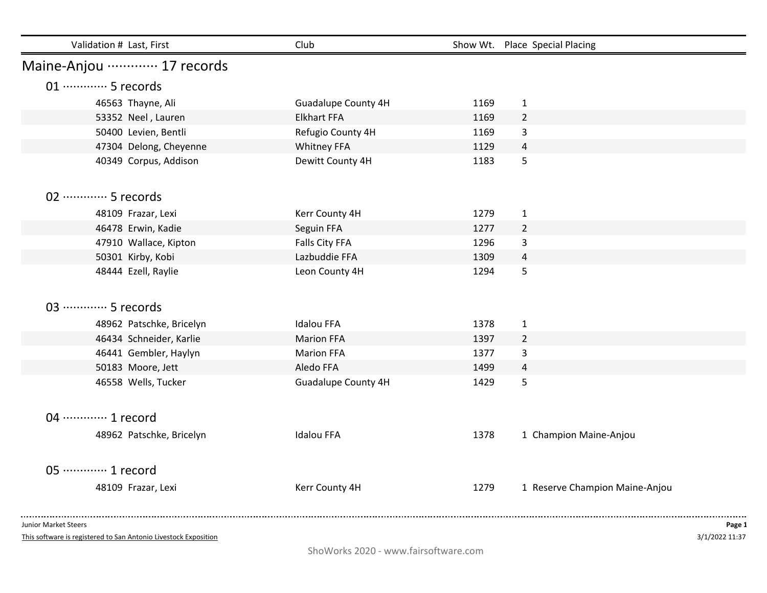| Validation # Last, First    | Club                       |      | Show Wt. Place Special Placing |        |
|-----------------------------|----------------------------|------|--------------------------------|--------|
| Maine-Anjou ………… 17 records |                            |      |                                |        |
| 01 ·············· 5 records |                            |      |                                |        |
| 46563 Thayne, Ali           | <b>Guadalupe County 4H</b> | 1169 | $\mathbf{1}$                   |        |
| 53352 Neel, Lauren          | <b>Elkhart FFA</b>         | 1169 | $\overline{2}$                 |        |
| 50400 Levien, Bentli        | Refugio County 4H          | 1169 | 3                              |        |
| 47304 Delong, Cheyenne      | <b>Whitney FFA</b>         | 1129 | 4                              |        |
| 40349 Corpus, Addison       | Dewitt County 4H           | 1183 | 5                              |        |
| 02 ·············· 5 records |                            |      |                                |        |
| 48109 Frazar, Lexi          | Kerr County 4H             | 1279 | $\mathbf{1}$                   |        |
| 46478 Erwin, Kadie          | Seguin FFA                 | 1277 | $\overline{2}$                 |        |
| 47910 Wallace, Kipton       | Falls City FFA             | 1296 | 3                              |        |
| 50301 Kirby, Kobi           | Lazbuddie FFA              | 1309 | 4                              |        |
| 48444 Ezell, Raylie         | Leon County 4H             | 1294 | 5                              |        |
| 03 ………… 5 records           |                            |      |                                |        |
| 48962 Patschke, Bricelyn    | <b>Idalou FFA</b>          | 1378 | $\mathbf{1}$                   |        |
| 46434 Schneider, Karlie     | <b>Marion FFA</b>          | 1397 | $\overline{2}$                 |        |
| 46441 Gembler, Haylyn       | <b>Marion FFA</b>          | 1377 | 3                              |        |
| 50183 Moore, Jett           | Aledo FFA                  | 1499 | 4                              |        |
| 46558 Wells, Tucker         | <b>Guadalupe County 4H</b> | 1429 | 5                              |        |
| 04 ············· 1 record   |                            |      |                                |        |
| 48962 Patschke, Bricelyn    | <b>Idalou FFA</b>          | 1378 | 1 Champion Maine-Anjou         |        |
| 05 ·············· 1 record  |                            |      |                                |        |
| 48109 Frazar, Lexi          | Kerr County 4H             | 1279 | 1 Reserve Champion Maine-Anjou |        |
| Junior Market Steers        |                            |      |                                | Page 1 |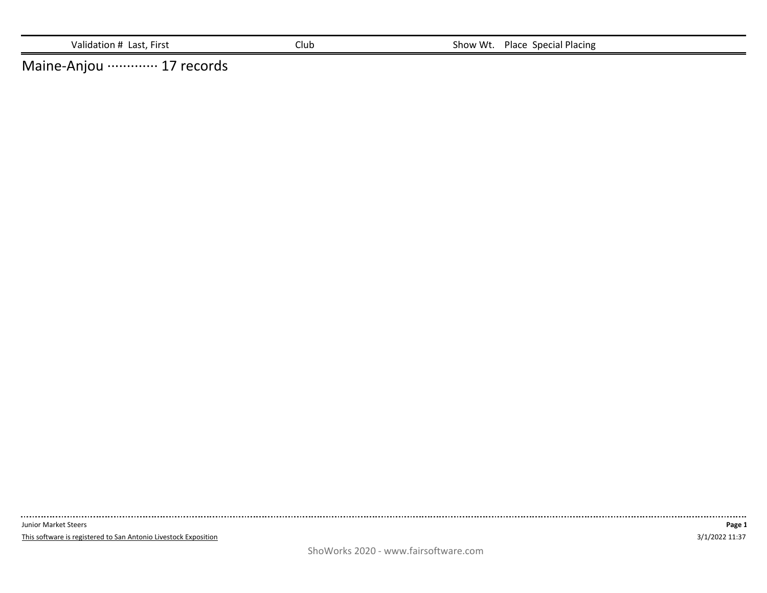|  | $\overline{\phantom{a}}$<br>First<br>aation :<br>Last.<br><br>- - | - -<br>Club | Show Wt<br>' Placing<br><b>Place</b><br>special<br>'Cidi |
|--|-------------------------------------------------------------------|-------------|----------------------------------------------------------|
|--|-------------------------------------------------------------------|-------------|----------------------------------------------------------|

Maine-Anjou ·············· 17 records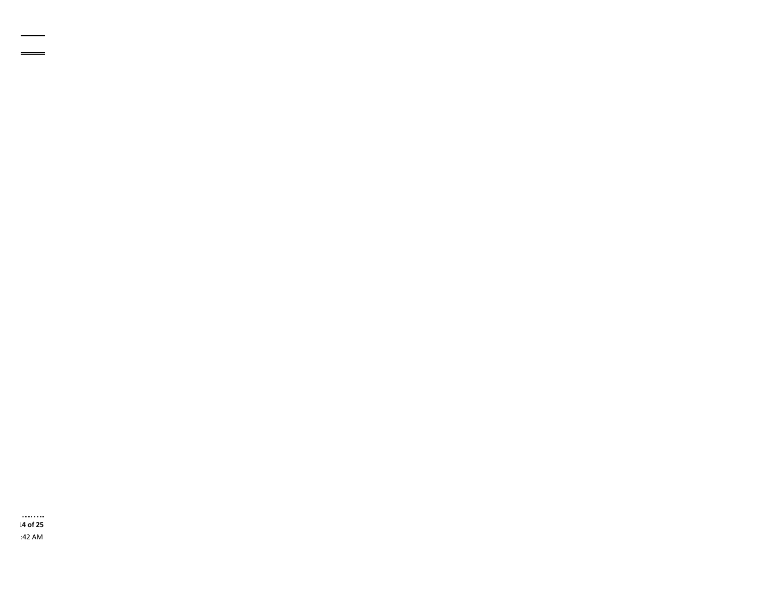$\sim$  . . . . . . . . **Page 14 of 25** :42 AM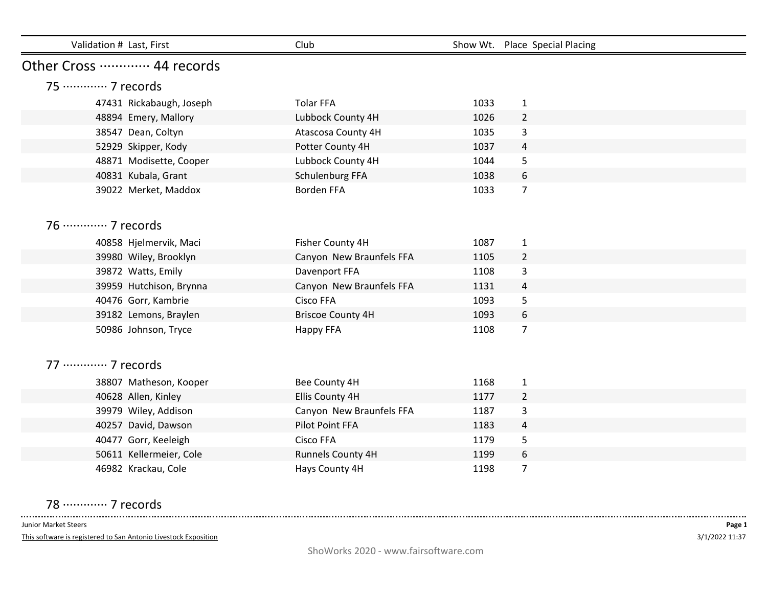| Validation # Last, First    | Club                     |      | Show Wt. Place Special Placing |
|-----------------------------|--------------------------|------|--------------------------------|
| Other Cross  44 records     |                          |      |                                |
| 75 ·············· 7 records |                          |      |                                |
| 47431 Rickabaugh, Joseph    | <b>Tolar FFA</b>         | 1033 | $\mathbf{1}$                   |
| 48894 Emery, Mallory        | Lubbock County 4H        | 1026 | $\overline{2}$                 |
| 38547 Dean, Coltyn          | Atascosa County 4H       | 1035 | 3                              |
| 52929 Skipper, Kody         | Potter County 4H         | 1037 | 4                              |
| 48871 Modisette, Cooper     | Lubbock County 4H        | 1044 | 5                              |
| 40831 Kubala, Grant         | Schulenburg FFA          | 1038 | 6                              |
| 39022 Merket, Maddox        | <b>Borden FFA</b>        | 1033 | $\overline{7}$                 |
|                             |                          |      |                                |
|                             |                          |      |                                |
| 76 ·············· 7 records |                          |      |                                |
| 40858 Hjelmervik, Maci      | Fisher County 4H         | 1087 | $\mathbf{1}$                   |
| 39980 Wiley, Brooklyn       | Canyon New Braunfels FFA | 1105 | $\overline{2}$                 |
| 39872 Watts, Emily          | Davenport FFA            | 1108 | 3                              |
| 39959 Hutchison, Brynna     | Canyon New Braunfels FFA | 1131 | 4                              |
| 40476 Gorr, Kambrie         | <b>Cisco FFA</b>         | 1093 | 5                              |
| 39182 Lemons, Braylen       | <b>Briscoe County 4H</b> | 1093 | 6                              |
| 50986 Johnson, Tryce        | <b>Happy FFA</b>         | 1108 | $\overline{7}$                 |
|                             |                          |      |                                |
|                             |                          |      |                                |
| 77 ………… 7 records           |                          |      |                                |
| 38807 Matheson, Kooper      | Bee County 4H            | 1168 | $\mathbf{1}$                   |
| 40628 Allen, Kinley         | Ellis County 4H          | 1177 | $\overline{2}$                 |
| 39979 Wiley, Addison        | Canyon New Braunfels FFA | 1187 | 3                              |
| 40257 David, Dawson         | Pilot Point FFA          | 1183 | 4                              |
| 40477 Gorr, Keeleigh        | <b>Cisco FFA</b>         | 1179 | 5                              |
| 50611 Kellermeier, Cole     | Runnels County 4H        | 1199 | 6                              |
| 46982 Krackau, Cole         | Hays County 4H           | 1198 | $\overline{7}$                 |

78 ············· 7 records

Junior Market Steers

 $\sim$   $\sim$   $\sim$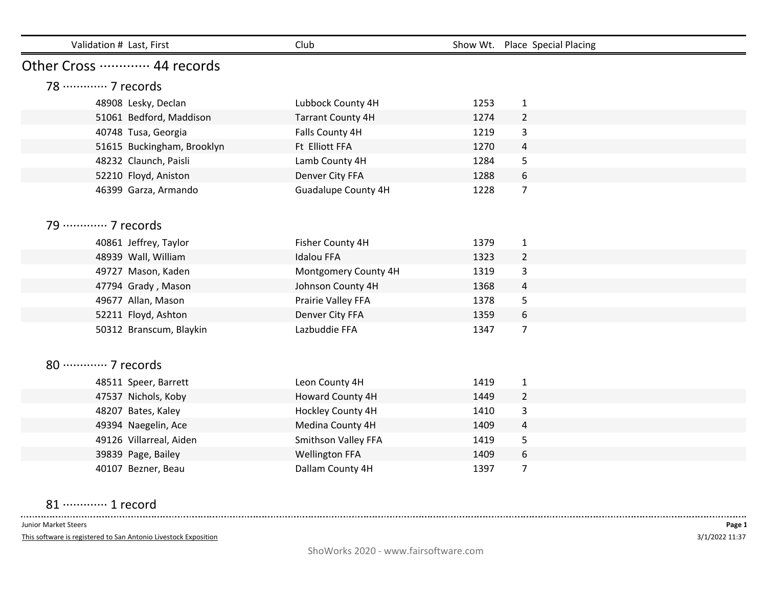| Validation # Last, First    | Club                       |      | Show Wt. Place Special Placing |  |
|-----------------------------|----------------------------|------|--------------------------------|--|
| Other Cross  44 records     |                            |      |                                |  |
| 78 ………… 7 records           |                            |      |                                |  |
| 48908 Lesky, Declan         | Lubbock County 4H          | 1253 | $\mathbf{1}$                   |  |
| 51061 Bedford, Maddison     | <b>Tarrant County 4H</b>   | 1274 | $\overline{2}$                 |  |
| 40748 Tusa, Georgia         | Falls County 4H            | 1219 | 3                              |  |
| 51615 Buckingham, Brooklyn  | Ft Elliott FFA             | 1270 | 4                              |  |
| 48232 Claunch, Paisli       | Lamb County 4H             | 1284 | 5                              |  |
| 52210 Floyd, Aniston        | Denver City FFA            | 1288 | 6                              |  |
| 46399 Garza, Armando        | <b>Guadalupe County 4H</b> | 1228 | $\overline{7}$                 |  |
|                             |                            |      |                                |  |
| 79  7 records               |                            |      |                                |  |
|                             |                            |      |                                |  |
| 40861 Jeffrey, Taylor       | Fisher County 4H           | 1379 | $\mathbf{1}$                   |  |
| 48939 Wall, William         | <b>Idalou FFA</b>          | 1323 | $\overline{2}$                 |  |
| 49727 Mason, Kaden          | Montgomery County 4H       | 1319 | 3                              |  |
| 47794 Grady, Mason          | Johnson County 4H          | 1368 | 4                              |  |
| 49677 Allan, Mason          | Prairie Valley FFA         | 1378 | 5                              |  |
| 52211 Floyd, Ashton         | Denver City FFA            | 1359 | 6                              |  |
| 50312 Branscum, Blaykin     | Lazbuddie FFA              | 1347 | $\overline{7}$                 |  |
|                             |                            |      |                                |  |
|                             |                            |      |                                |  |
| 80 ·············· 7 records |                            |      |                                |  |
| 48511 Speer, Barrett        | Leon County 4H             | 1419 | $\mathbf{1}$                   |  |
| 47537 Nichols, Koby         | Howard County 4H           | 1449 | $\overline{2}$                 |  |
| 48207 Bates, Kaley          | Hockley County 4H          | 1410 | 3                              |  |
| 49394 Naegelin, Ace         | Medina County 4H           | 1409 | 4                              |  |
| 49126 Villarreal, Aiden     | Smithson Valley FFA        | 1419 | 5                              |  |
| 39839 Page, Bailey          | <b>Wellington FFA</b>      | 1409 | 6                              |  |
| 40107 Bezner, Beau          | Dallam County 4H           | 1397 | $\overline{7}$                 |  |
|                             |                            |      |                                |  |

81 ·············· 1 record

Junior Market Steers

 $\sim$   $\sim$   $\sim$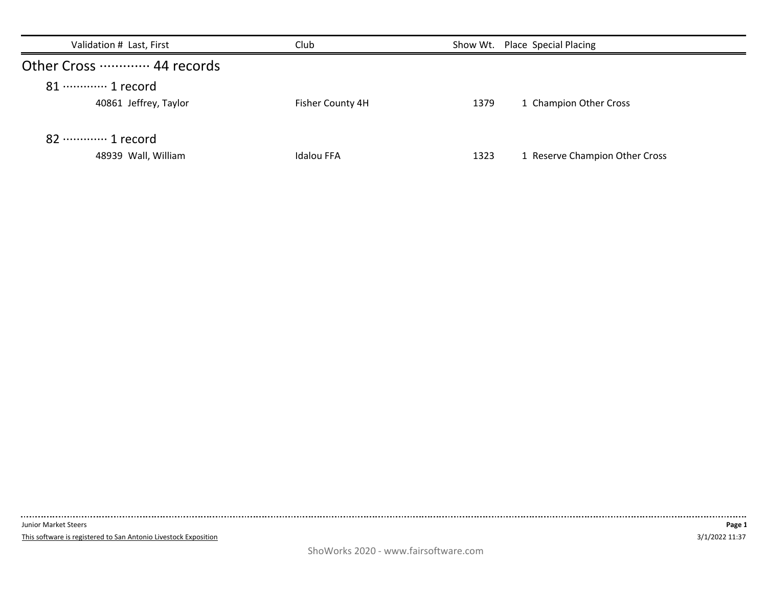| Validation # Last, First    | Club              |      | Show Wt. Place Special Placing |
|-----------------------------|-------------------|------|--------------------------------|
| Other Cross ………… 44 records |                   |      |                                |
| 81 ………… 1 record            |                   |      |                                |
| 40861 Jeffrey, Taylor       | Fisher County 4H  | 1379 | 1 Champion Other Cross         |
| 82 ………… 1 record            |                   |      |                                |
| 48939 Wall, William         | <b>Idalou FFA</b> | 1323 | 1 Reserve Champion Other Cross |

-------------------------

. . . .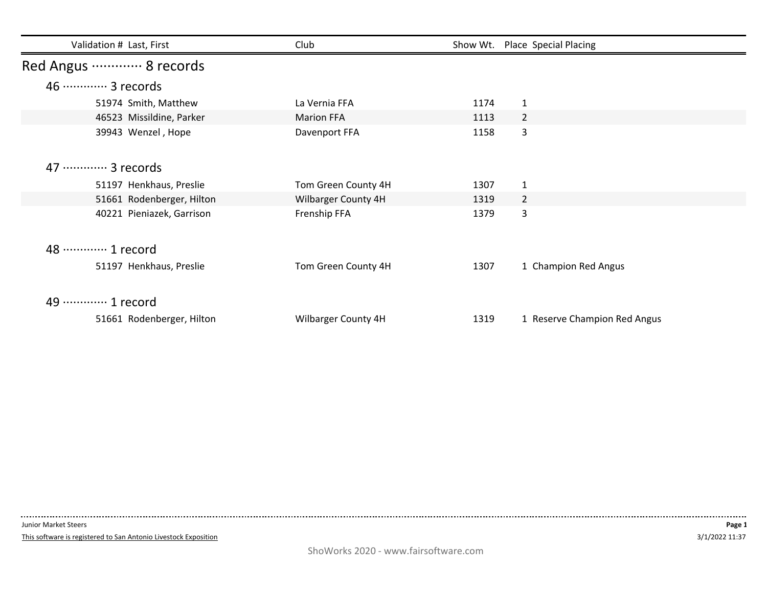| Validation # Last, First    | Club                | Show Wt. | Place Special Placing        |
|-----------------------------|---------------------|----------|------------------------------|
| Red Angus ………… 8 records    |                     |          |                              |
| 46 ………… 3 records           |                     |          |                              |
| 51974 Smith, Matthew        | La Vernia FFA       | 1174     | $\mathbf{1}$                 |
| 46523 Missildine, Parker    | <b>Marion FFA</b>   | 1113     | $\overline{2}$               |
| 39943 Wenzel, Hope          | Davenport FFA       | 1158     | 3                            |
| 47 ·············· 3 records |                     |          |                              |
| 51197 Henkhaus, Preslie     | Tom Green County 4H | 1307     | $\mathbf{1}$                 |
| 51661 Rodenberger, Hilton   | Wilbarger County 4H | 1319     | $\overline{2}$               |
| 40221 Pieniazek, Garrison   | Frenship FFA        | 1379     | 3                            |
| 48 ………… 1 record            |                     |          |                              |
| 51197 Henkhaus, Preslie     | Tom Green County 4H | 1307     | 1 Champion Red Angus         |
| 49 ············· 1 record   |                     |          |                              |
| 51661 Rodenberger, Hilton   | Wilbarger County 4H | 1319     | 1 Reserve Champion Red Angus |

-------------------------

. . . .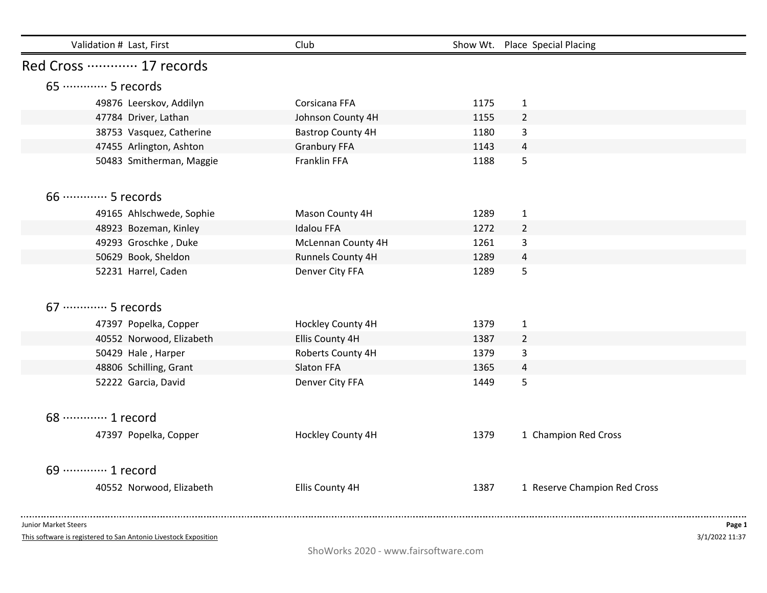| Validation # Last, First    | Club                     |      | Show Wt. Place Special Placing |        |
|-----------------------------|--------------------------|------|--------------------------------|--------|
| Red Cross  17 records       |                          |      |                                |        |
| 65 ·············· 5 records |                          |      |                                |        |
| 49876 Leerskov, Addilyn     | Corsicana FFA            | 1175 | $\mathbf{1}$                   |        |
| 47784 Driver, Lathan        | Johnson County 4H        | 1155 | $\overline{2}$                 |        |
| 38753 Vasquez, Catherine    | <b>Bastrop County 4H</b> | 1180 | 3                              |        |
| 47455 Arlington, Ashton     | <b>Granbury FFA</b>      | 1143 | 4                              |        |
| 50483 Smitherman, Maggie    | Franklin FFA             | 1188 | 5                              |        |
| 66 ·············· 5 records |                          |      |                                |        |
| 49165 Ahlschwede, Sophie    | Mason County 4H          | 1289 | $\mathbf{1}$                   |        |
| 48923 Bozeman, Kinley       | <b>Idalou FFA</b>        | 1272 | $\overline{2}$                 |        |
| 49293 Groschke, Duke        | McLennan County 4H       | 1261 | $\mathsf{3}$                   |        |
| 50629 Book, Sheldon         | Runnels County 4H        | 1289 | $\overline{4}$                 |        |
| 52231 Harrel, Caden         | Denver City FFA          | 1289 | 5                              |        |
| 67 ·············· 5 records |                          |      |                                |        |
| 47397 Popelka, Copper       | Hockley County 4H        | 1379 | $\mathbf{1}$                   |        |
| 40552 Norwood, Elizabeth    | Ellis County 4H          | 1387 | $\overline{2}$                 |        |
| 50429 Hale, Harper          | Roberts County 4H        | 1379 | $\mathsf{3}$                   |        |
| 48806 Schilling, Grant      | Slaton FFA               | 1365 | 4                              |        |
| 52222 Garcia, David         | Denver City FFA          | 1449 | 5                              |        |
| 68 ………… 1 record            |                          |      |                                |        |
| 47397 Popelka, Copper       | Hockley County 4H        | 1379 | 1 Champion Red Cross           |        |
| 69 ············· 1 record   |                          |      |                                |        |
| 40552 Norwood, Elizabeth    | Ellis County 4H          | 1387 | 1 Reserve Champion Red Cross   |        |
| Junior Market Steers        |                          |      |                                | Page 1 |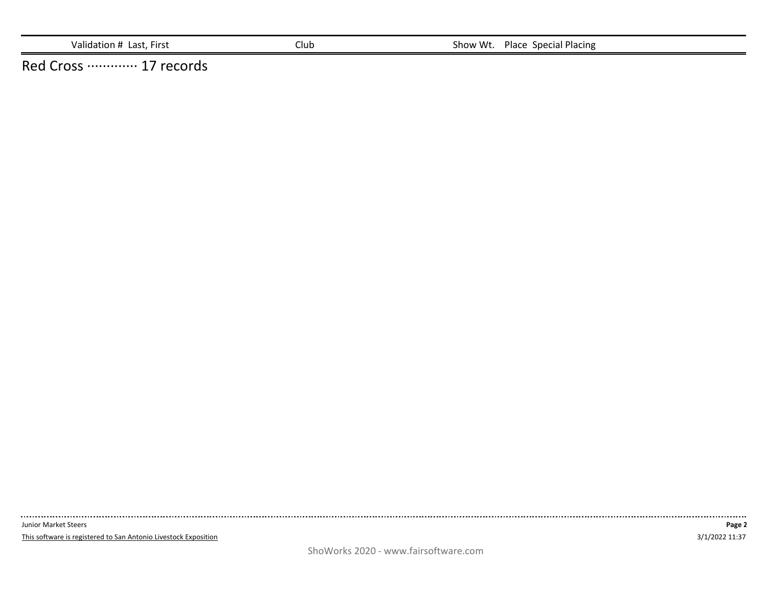| Validation # Last, First<br>Club |  |
|----------------------------------|--|
|----------------------------------|--|

Show Wt. Place Special Placing

Red Cross ·············· 17 records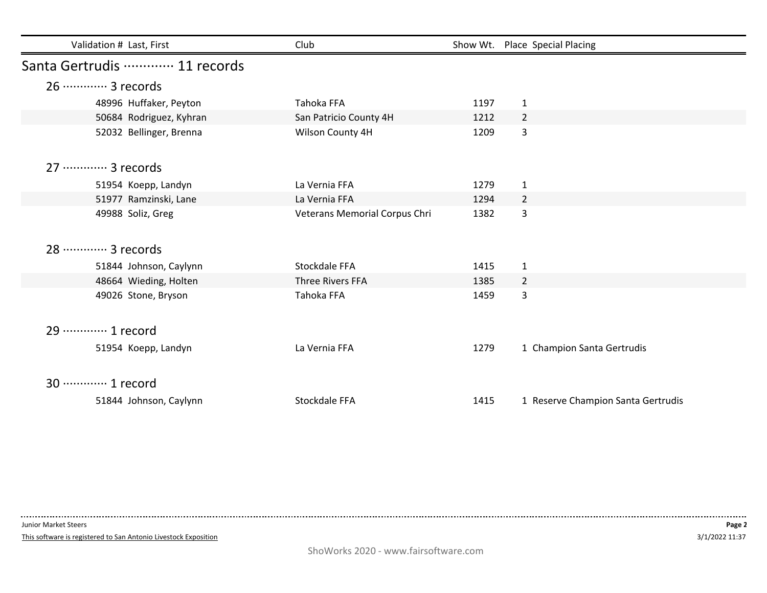| Validation # Last, First    | Club                          |      | Show Wt. Place Special Placing     |
|-----------------------------|-------------------------------|------|------------------------------------|
| Santa Gertrudis  11 records |                               |      |                                    |
| 26 ………… 3 records           |                               |      |                                    |
| 48996 Huffaker, Peyton      | Tahoka FFA                    | 1197 | $\mathbf{1}$                       |
| 50684 Rodriguez, Kyhran     | San Patricio County 4H        | 1212 | $\overline{2}$                     |
| 52032 Bellinger, Brenna     | Wilson County 4H              | 1209 | 3                                  |
| 27 ………… 3 records           |                               |      |                                    |
| 51954 Koepp, Landyn         | La Vernia FFA                 | 1279 | $\mathbf{1}$                       |
| 51977 Ramzinski, Lane       | La Vernia FFA                 | 1294 | $\overline{2}$                     |
| 49988 Soliz, Greg           | Veterans Memorial Corpus Chri | 1382 | 3                                  |
| 28 ………… 3 records           |                               |      |                                    |
| 51844 Johnson, Caylynn      | Stockdale FFA                 | 1415 | $\mathbf{1}$                       |
| 48664 Wieding, Holten       | Three Rivers FFA              | 1385 | $\overline{2}$                     |
| 49026 Stone, Bryson         | Tahoka FFA                    | 1459 | 3                                  |
| 29 ………… 1 record            |                               |      |                                    |
| 51954 Koepp, Landyn         | La Vernia FFA                 | 1279 | 1 Champion Santa Gertrudis         |
| 30 ············· 1 record   |                               |      |                                    |
| 51844 Johnson, Caylynn      | Stockdale FFA                 | 1415 | 1 Reserve Champion Santa Gertrudis |

--------------------------Junior Market Steers

This software is registered to San Antonio Livestock Exposition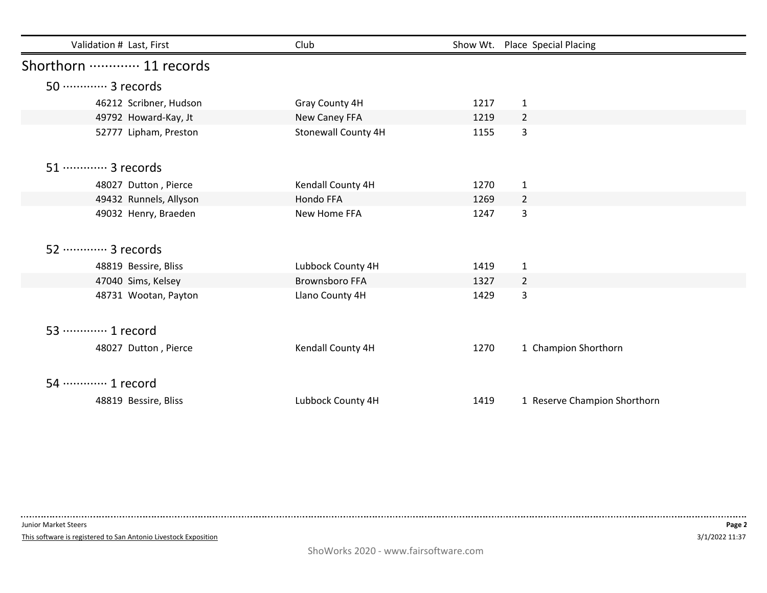| Validation # Last, First   | Club                  |      | Show Wt. Place Special Placing |
|----------------------------|-----------------------|------|--------------------------------|
| Shorthorn  11 records      |                       |      |                                |
| 50 ············· 3 records |                       |      |                                |
| 46212 Scribner, Hudson     | Gray County 4H        | 1217 | $\mathbf{1}$                   |
| 49792 Howard-Kay, Jt       | New Caney FFA         | 1219 | $\overline{2}$                 |
| 52777 Lipham, Preston      | Stonewall County 4H   | 1155 | 3                              |
| 51 ············· 3 records |                       |      |                                |
| 48027 Dutton, Pierce       | Kendall County 4H     | 1270 | $\mathbf{1}$                   |
| 49432 Runnels, Allyson     | Hondo FFA             | 1269 | $\overline{2}$                 |
| 49032 Henry, Braeden       | New Home FFA          | 1247 | $\mathsf{3}$                   |
| 52 ············· 3 records |                       |      |                                |
| 48819 Bessire, Bliss       | Lubbock County 4H     | 1419 | $\mathbf{1}$                   |
| 47040 Sims, Kelsey         | <b>Brownsboro FFA</b> | 1327 | $\overline{2}$                 |
| 48731 Wootan, Payton       | Llano County 4H       | 1429 | 3                              |
| 53 ………… 1 record           |                       |      |                                |
| 48027 Dutton, Pierce       | Kendall County 4H     | 1270 | 1 Champion Shorthorn           |
| 54 ………… 1 record           |                       |      |                                |
| 48819 Bessire, Bliss       | Lubbock County 4H     | 1419 | 1 Reserve Champion Shorthorn   |

--------------------------Junior Market Steers

This software is registered to San Antonio Livestock Exposition

 $- - -$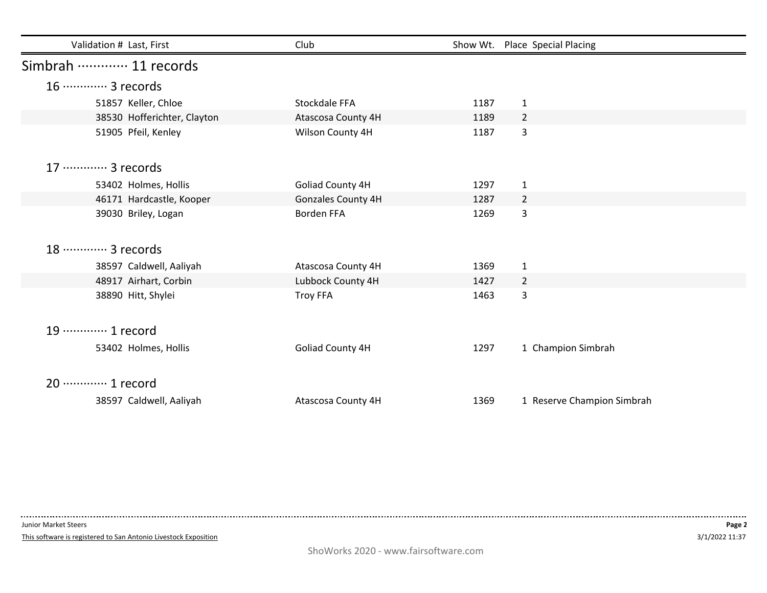| Validation # Last, First    | Club               |      | Show Wt. Place Special Placing |
|-----------------------------|--------------------|------|--------------------------------|
| Simbrah  11 records         |                    |      |                                |
| 16 ············· 3 records  |                    |      |                                |
| 51857 Keller, Chloe         | Stockdale FFA      | 1187 | $\mathbf{1}$                   |
| 38530 Hofferichter, Clayton | Atascosa County 4H | 1189 | $\overline{2}$                 |
| 51905 Pfeil, Kenley         | Wilson County 4H   | 1187 | $\mathsf{3}$                   |
| 17 ············· 3 records  |                    |      |                                |
| 53402 Holmes, Hollis        | Goliad County 4H   | 1297 | $\mathbf{1}$                   |
| 46171 Hardcastle, Kooper    | Gonzales County 4H | 1287 | $\overline{2}$                 |
| 39030 Briley, Logan         | Borden FFA         | 1269 | 3                              |
| 18 ………… 3 records           |                    |      |                                |
| 38597 Caldwell, Aaliyah     | Atascosa County 4H | 1369 | $\mathbf{1}$                   |
| 48917 Airhart, Corbin       | Lubbock County 4H  | 1427 | $\overline{2}$                 |
| 38890 Hitt, Shylei          | <b>Troy FFA</b>    | 1463 | 3                              |
| 19 ············· 1 record   |                    |      |                                |
| 53402 Holmes, Hollis        | Goliad County 4H   | 1297 | 1 Champion Simbrah             |
| 20 ············· 1 record   |                    |      |                                |
| 38597 Caldwell, Aaliyah     | Atascosa County 4H | 1369 | 1 Reserve Champion Simbrah     |

 $- - -$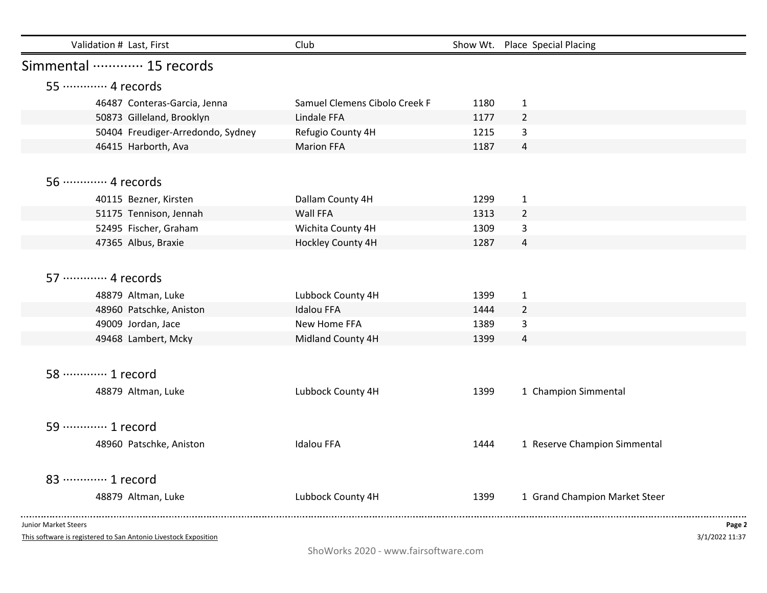| Validation # Last, First                                        | Club                          |      | Show Wt. Place Special Placing |
|-----------------------------------------------------------------|-------------------------------|------|--------------------------------|
| Simmental ………… 15 records                                       |                               |      |                                |
| 55 ············· 4 records                                      |                               |      |                                |
| 46487 Conteras-Garcia, Jenna                                    | Samuel Clemens Cibolo Creek F | 1180 | $\mathbf{1}$                   |
| 50873 Gilleland, Brooklyn                                       | Lindale FFA                   | 1177 | $\overline{2}$                 |
| 50404 Freudiger-Arredondo, Sydney                               | Refugio County 4H             | 1215 | 3                              |
| 46415 Harborth, Ava                                             | <b>Marion FFA</b>             | 1187 | 4                              |
|                                                                 |                               |      |                                |
| 56 ············· 4 records                                      |                               |      |                                |
| 40115 Bezner, Kirsten                                           | Dallam County 4H              | 1299 | $\mathbf{1}$                   |
| 51175 Tennison, Jennah                                          | Wall FFA                      | 1313 | $\overline{2}$                 |
| 52495 Fischer, Graham                                           | Wichita County 4H             | 1309 | 3                              |
| 47365 Albus, Braxie                                             | Hockley County 4H             | 1287 | $\overline{4}$                 |
|                                                                 |                               |      |                                |
| 57 ············· 4 records                                      |                               |      |                                |
| 48879 Altman, Luke                                              | Lubbock County 4H             | 1399 | $\mathbf{1}$                   |
| 48960 Patschke, Aniston                                         | <b>Idalou FFA</b>             | 1444 | $\overline{2}$                 |
| 49009 Jordan, Jace                                              | New Home FFA                  | 1389 | 3                              |
| 49468 Lambert, Mcky                                             | Midland County 4H             | 1399 | 4                              |
|                                                                 |                               |      |                                |
| 58 ·············· 1 record                                      |                               |      |                                |
| 48879 Altman, Luke                                              | Lubbock County 4H             | 1399 | 1 Champion Simmental           |
| 59 ············· 1 record                                       |                               |      |                                |
| 48960 Patschke, Aniston                                         | <b>Idalou FFA</b>             | 1444 | 1 Reserve Champion Simmental   |
|                                                                 |                               |      |                                |
| 83 ………… 1 record                                                |                               |      |                                |
| 48879 Altman, Luke                                              | Lubbock County 4H             | 1399 | 1 Grand Champion Market Steer  |
| Junior Market Steers                                            |                               |      | Page 2                         |
| This software is registered to San Antonio Livestock Exposition |                               |      | 3/1/2022 11:37                 |